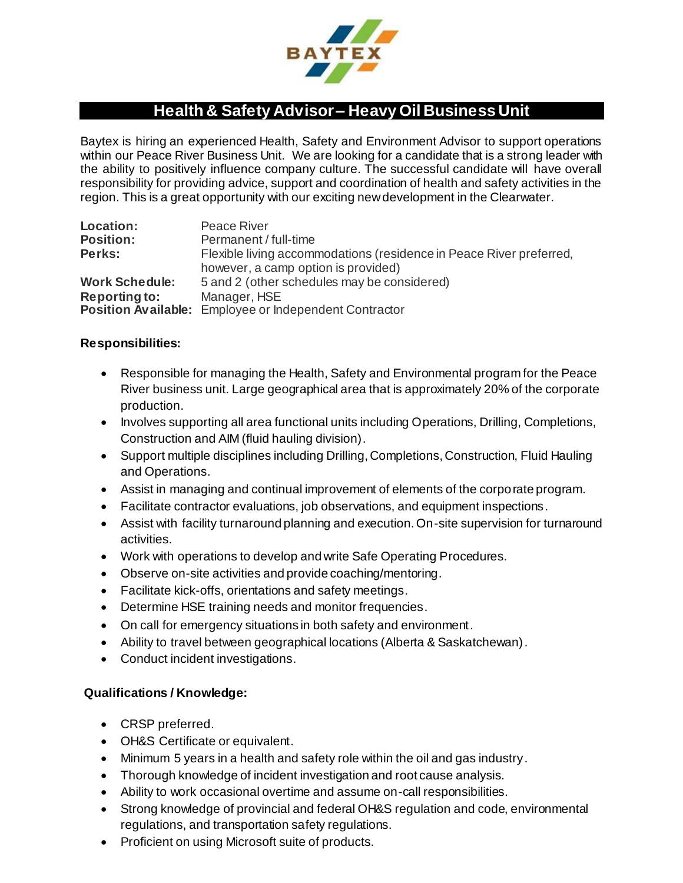

# **Health & Safety Advisor– Heavy Oil Business Unit**

Baytex is hiring an experienced Health, Safety and Environment Advisor to support operations within our Peace River Business Unit. We are looking for a candidate that is a strong leader with the ability to positively influence company culture. The successful candidate will have overall responsibility for providing advice, support and coordination of health and safety activities in the region. This is a great opportunity with our exciting new development in the Clearwater.

| Location:             | Peace River                                                         |
|-----------------------|---------------------------------------------------------------------|
| <b>Position:</b>      | Permanent / full-time                                               |
| Perks:                | Flexible living accommodations (residence in Peace River preferred, |
|                       | however, a camp option is provided)                                 |
| <b>Work Schedule:</b> | 5 and 2 (other schedules may be considered)                         |
| Reporting to:         | Manager, HSE                                                        |
|                       | Position Available: Employee or Independent Contractor              |

#### **Responsibilities:**

- Responsible for managing the Health, Safety and Environmental program for the Peace River business unit. Large geographical area that is approximately 20% of the corporate production.
- Involves supporting all area functional units including Operations, Drilling, Completions, Construction and AIM (fluid hauling division).
- Support multiple disciplines including Drilling, Completions, Construction, Fluid Hauling and Operations.
- Assist in managing and continual improvement of elements of the corporate program.
- Facilitate contractor evaluations, job observations, and equipment inspections.
- Assist with facility turnaround planning and execution. On-site supervision for turnaround activities.
- Work with operations to develop and write Safe Operating Procedures.
- Observe on-site activities and provide coaching/mentoring.
- Facilitate kick-offs, orientations and safety meetings.
- Determine HSE training needs and monitor frequencies.
- On call for emergency situations in both safety and environment.
- Ability to travel between geographical locations (Alberta & Saskatchewan).
- Conduct incident investigations.

#### **Qualifications / Knowledge:**

- CRSP preferred.
- OH&S Certificate or equivalent.
- Minimum 5 years in a health and safety role within the oil and gas industry.
- Thorough knowledge of incident investigation and root cause analysis.
- Ability to work occasional overtime and assume on-call responsibilities.
- Strong knowledge of provincial and federal OH&S regulation and code, environmental regulations, and transportation safety regulations.
- Proficient on using Microsoft suite of products.